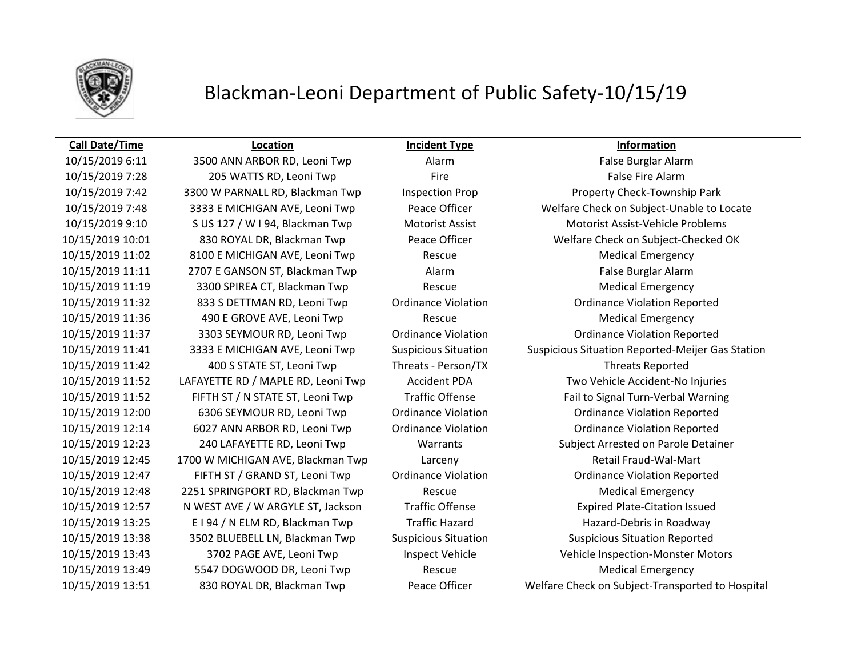

## Blackman-Leoni Department of Public Safety-10/15/19

### **Call Date/Time Location Incident Type Information**

10/15/2019 6:11 3500 ANN ARBOR RD, Leoni Twp Alarm Alarm False Burglar Alarm 10/15/2019 7:28 205 WATTS RD, Leoni Twp Fire Fire False Fire Alarm 10/15/2019 11:02 8100 E MICHIGAN AVE, Leoni Twp Rescue Medical Emergency 10/15/2019 11:11 2707 E GANSON ST, Blackman Twp Alarm Alarm False Burglar Alarm 10/15/2019 11:19 3300 SPIREA CT, Blackman Twp Rescue Medical Emergency 10/15/2019 11:32 833 S DETTMAN RD, Leoni Twp Ordinance Violation Ordinance Violation Reported 10/15/2019 11:36 490 E GROVE AVE, Leoni Twp Rescue Medical Emergency 10/15/2019 11:37 3303 SEYMOUR RD, Leoni Twp Ordinance Violation Ordinance Violation Reported 10/15/2019 11:42 400 S STATE ST, Leoni Twp Threats - Person/TX Threats Reported 10/15/2019 12:00 6306 SEYMOUR RD, Leoni Twp Ordinance Violation Ordinance Violation Reported 10/15/2019 12:14 6027 ANN ARBOR RD, Leoni Twp Ordinance Violation Ordinance Violation Reported 10/15/2019 12:45 1700 W MICHIGAN AVE, Blackman Twp Larceny Retail Fraud-Wal-Mart 10/15/2019 12:47 FIFTH ST / GRAND ST, Leoni Twp Ordinance Violation Ordinance Violation Reported 10/15/2019 12:48 2251 SPRINGPORT RD, Blackman Twp Rescue Medical Emergency 10/15/2019 12:57 N WEST AVE / W ARGYLE ST, Jackson Traffic Offense Expired Plate-Citation Issued 10/15/2019 13:25 E I 94 / N ELM RD, Blackman Twp Traffic Hazard Hazard-Debris in Roadway 10/15/2019 13:38 3502 BLUEBELL LN, Blackman Twp Suspicious Situation Suspicious Situation Reported 10/15/2019 13:49 5547 DOGWOOD DR, Leoni Twp Rescue Medical Emergency

10/15/2019 7:42 3300 W PARNALL RD, Blackman Twp Inspection Prop Property Check-Township Park 10/15/2019 7:48 3333 E MICHIGAN AVE, Leoni Twp Peace Officer Welfare Check on Subject-Unable to Locate 10/15/2019 9:10 S US 127 / W I 94, Blackman Twp Motorist Assist Motorist Assist-Vehicle Problems 10/15/2019 10:01 830 ROYAL DR, Blackman Twp Peace Officer Welfare Check on Subject-Checked OK 10/15/2019 11:41 3333 E MICHIGAN AVE, Leoni Twp Suspicious Situation Suspicious Situation Reported-Meijer Gas Station 10/15/2019 11:52 LAFAYETTE RD / MAPLE RD, Leoni Twp Accident PDA Two Vehicle Accident-No Injuries 10/15/2019 11:52 FIFTH ST / N STATE ST, Leoni Twp Traffic Offense Fail to Signal Turn-Verbal Warning 10/15/2019 12:23 240 LAFAYETTE RD, Leoni Twp Warrants Subject Arrested on Parole Detainer 10/15/2019 13:43 3702 PAGE AVE, Leoni Twp Inspect Vehicle Vehicle Inspection-Monster Motors 10/15/2019 13:51 830 ROYAL DR, Blackman Twp Peace Officer Welfare Check on Subject-Transported to Hospital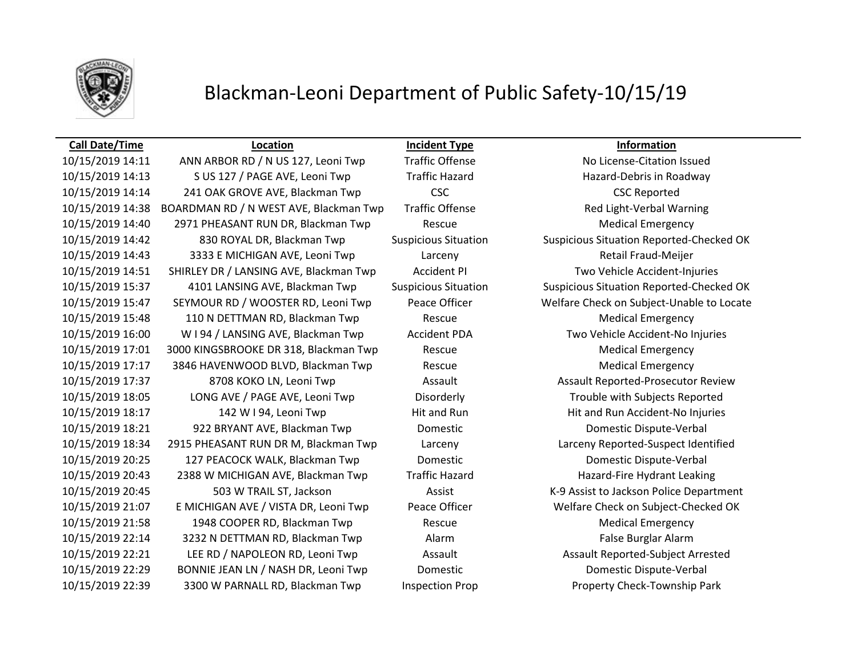

## Blackman-Leoni Department of Public Safety-10/15/19

10/15/2019 14:11 ANN ARBOR RD / N US 127, Leoni Twp Traffic Offense No License-Citation Issued 10/15/2019 14:13 S US 127 / PAGE AVE, Leoni Twp Traffic Hazard Hazard-Debris in Roadway 10/15/2019 14:14 241 OAK GROVE AVE, Blackman Twp CSC CSC CSC CSC CSC CSC CSC CSC Reported 10/15/2019 14:38 BOARDMAN RD / N WEST AVE, Blackman Twp Traffic Offense Red Light-Verbal Warning 10/15/2019 14:40 2971 PHEASANT RUN DR, Blackman Twp Rescue Medical Emergency 10/15/2019 14:42 830 ROYAL DR, Blackman Twp Suspicious Situation Suspicious Situation Reported-Checked OK 10/15/2019 14:43 3333 E MICHIGAN AVE, Leoni Twp Larceny Retail Fraud-Meijer 10/15/2019 14:51 SHIRLEY DR / LANSING AVE, Blackman Twp Accident PI Two Vehicle Accident-Injuries 10/15/2019 15:37 4101 LANSING AVE, Blackman Twp Suspicious Situation Suspicious Situation Reported-Checked OK 10/15/2019 15:47 SEYMOUR RD / WOOSTER RD, Leoni Twp Peace Officer Welfare Check on Subject-Unable to Locate 10/15/2019 15:48 110 N DETTMAN RD, Blackman Twp Rescue Medical Emergency 10/15/2019 16:00 W I 94 / LANSING AVE, Blackman Twp Accident PDA Two Vehicle Accident-No Injuries 10/15/2019 17:01 3000 KINGSBROOKE DR 318, Blackman Twp Rescue Medical Emergency 10/15/2019 17:17 3846 HAVENWOOD BLVD, Blackman Twp Rescue Medical Emergency 10/15/2019 17:37 8708 KOKO LN, Leoni Twp Assault Assault Reported-Prosecutor Review 10/15/2019 18:05 LONG AVE / PAGE AVE, Leoni Twp Disorderly Trouble with Subjects Reported 10/15/2019 18:17 142 W I 94, Leoni Twp Hit and Run Hit and Run Accident-No Injuries 10/15/2019 18:21 922 BRYANT AVE, Blackman Twp Domestic Domestic Dispute-Verbal 10/15/2019 18:34 2915 PHEASANT RUN DR M, Blackman Twp Larceny Larceny Reported-Suspect Identified 10/15/2019 20:25 127 PEACOCK WALK, Blackman Twp Domestic Domestic Dispute-Verbal 10/15/2019 20:43 2388 W MICHIGAN AVE, Blackman Twp Traffic Hazard Hazard-Fire Hydrant Leaking 10/15/2019 20:45 503 W TRAIL ST, Jackson Assist K-9 Assist to Jackson Police Department 10/15/2019 21:07 E MICHIGAN AVE / VISTA DR, Leoni Twp Peace Officer Welfare Check on Subject-Checked OK 10/15/2019 21:58 1948 COOPER RD, Blackman Twp Rescue Medical Emergency 10/15/2019 22:14 3232 N DETTMAN RD, Blackman Twp Alarm False Burglar Alarm 10/15/2019 22:21 LEE RD / NAPOLEON RD, Leoni Twp Assault Assault Assault Assault Reported-Subject Arrested 10/15/2019 22:29 BONNIE JEAN LN / NASH DR, Leoni Twp Domestic Domestic Dispute-Verbal 10/15/2019 22:39 3300 W PARNALL RD, Blackman Twp Inspection Prop Property Check-Township Park

**Call Date/Time Location Incident Type Information**